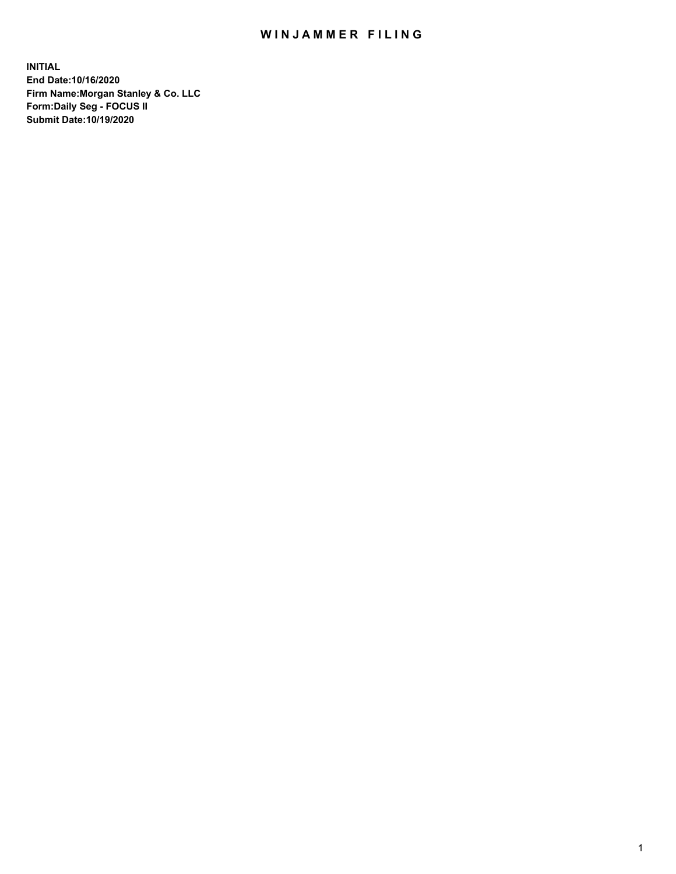## WIN JAMMER FILING

**INITIAL End Date:10/16/2020 Firm Name:Morgan Stanley & Co. LLC Form:Daily Seg - FOCUS II Submit Date:10/19/2020**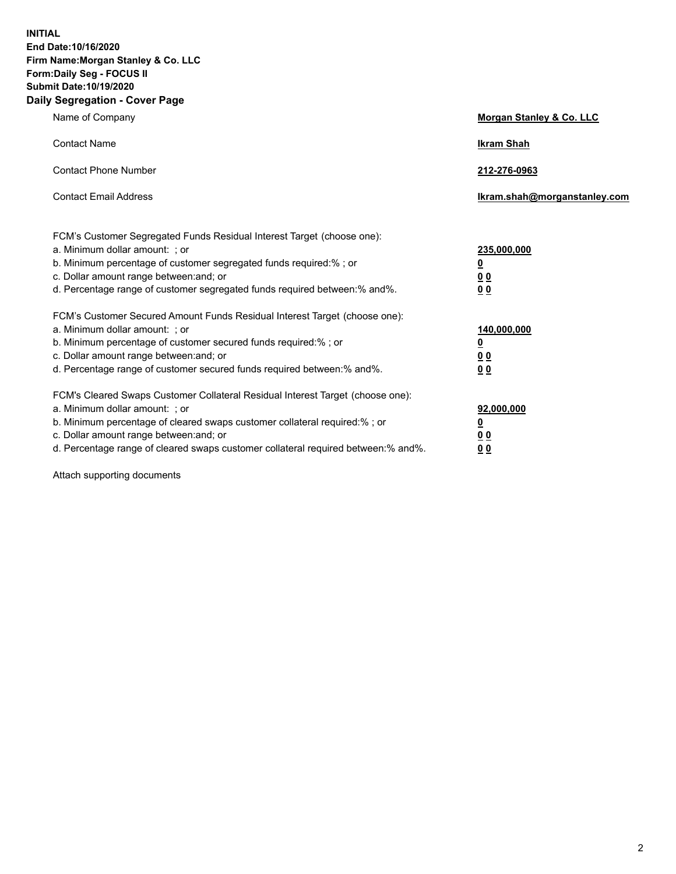**INITIAL End Date:10/16/2020 Firm Name:Morgan Stanley & Co. LLC Form:Daily Seg - FOCUS II Submit Date:10/19/2020 Daily Segregation - Cover Page**

| Name of Company                                                                                                                                                                                                                                                                                                                | Morgan Stanley & Co. LLC                                |
|--------------------------------------------------------------------------------------------------------------------------------------------------------------------------------------------------------------------------------------------------------------------------------------------------------------------------------|---------------------------------------------------------|
| <b>Contact Name</b>                                                                                                                                                                                                                                                                                                            | <b>Ikram Shah</b>                                       |
| <b>Contact Phone Number</b>                                                                                                                                                                                                                                                                                                    | 212-276-0963                                            |
| <b>Contact Email Address</b>                                                                                                                                                                                                                                                                                                   | Ikram.shah@morganstanley.com                            |
| FCM's Customer Segregated Funds Residual Interest Target (choose one):<br>a. Minimum dollar amount: ; or<br>b. Minimum percentage of customer segregated funds required:% ; or<br>c. Dollar amount range between: and; or<br>d. Percentage range of customer segregated funds required between: % and %.                       | 235,000,000<br><u>0</u><br><u>00</u><br><u>00</u>       |
| FCM's Customer Secured Amount Funds Residual Interest Target (choose one):<br>a. Minimum dollar amount: ; or<br>b. Minimum percentage of customer secured funds required:% ; or<br>c. Dollar amount range between: and; or<br>d. Percentage range of customer secured funds required between:% and%.                           | 140,000,000<br><u>0</u><br><u>0 0</u><br>0 <sub>0</sub> |
| FCM's Cleared Swaps Customer Collateral Residual Interest Target (choose one):<br>a. Minimum dollar amount: ; or<br>b. Minimum percentage of cleared swaps customer collateral required:% ; or<br>c. Dollar amount range between: and; or<br>d. Percentage range of cleared swaps customer collateral required between:% and%. | 92,000,000<br><u>0</u><br><u>00</u><br>00               |

Attach supporting documents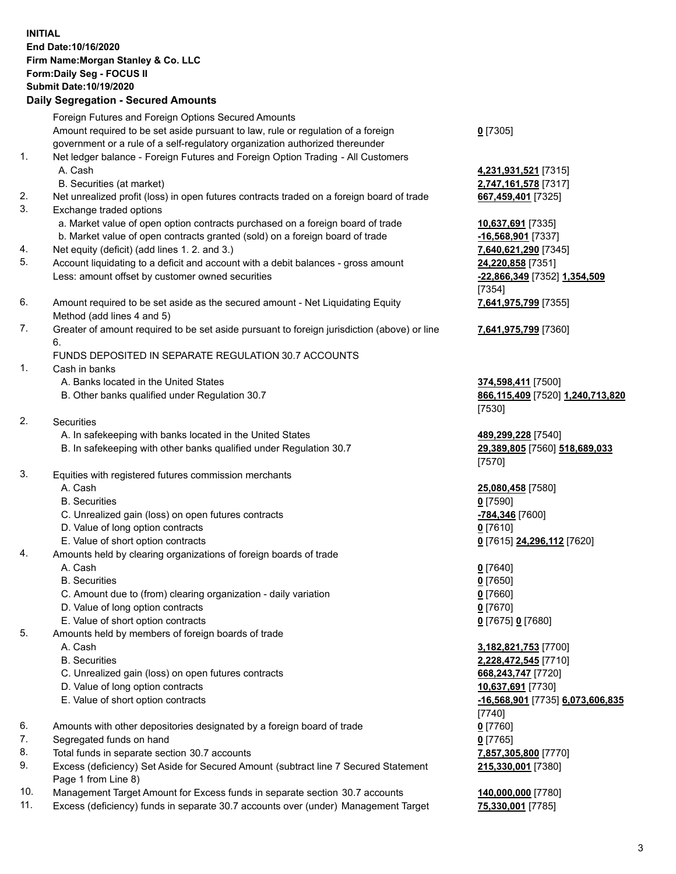## **INITIAL End Date:10/16/2020 Firm Name:Morgan Stanley & Co. LLC Form:Daily Seg - FOCUS II Submit Date:10/19/2020 Daily Segregation - Secured Amounts**

Foreign Futures and Foreign Options Secured Amounts Amount required to be set aside pursuant to law, rule or regulation of a foreign government or a rule of a self-regulatory organization authorized thereunder 1. Net ledger balance - Foreign Futures and Foreign Option Trading - All Customers A. Cash **4,231,931,521** [7315] B. Securities (at market) **2,747,161,578** [7317] 2. Net unrealized profit (loss) in open futures contracts traded on a foreign board of trade **667,459,401** [7325] 3. Exchange traded options a. Market value of open option contracts purchased on a foreign board of trade **10,637,691** [7335] b. Market value of open contracts granted (sold) on a foreign board of trade **-16,568,901** [7337] 4. Net equity (deficit) (add lines 1. 2. and 3.) **7,640,621,290** [7345] 5. Account liquidating to a deficit and account with a debit balances - gross amount **24,220,858** [7351] Less: amount offset by customer owned securities **-22,866,349** [7352] **1,354,509** 6. Amount required to be set aside as the secured amount - Net Liquidating Equity Method (add lines 4 and 5) 7. Greater of amount required to be set aside pursuant to foreign jurisdiction (above) or line 6. FUNDS DEPOSITED IN SEPARATE REGULATION 30.7 ACCOUNTS 1. Cash in banks A. Banks located in the United States **374,598,411** [7500] B. Other banks qualified under Regulation 30.7 **866,115,409** [7520] **1,240,713,820** 2. Securities A. In safekeeping with banks located in the United States **489,299,228** [7540] B. In safekeeping with other banks qualified under Regulation 30.7 **29,389,805** [7560] **518,689,033**

- 3. Equities with registered futures commission merchants
	-
	- B. Securities **0** [7590]
	- C. Unrealized gain (loss) on open futures contracts **-784,346** [7600]
	- D. Value of long option contracts **0** [7610]
	- E. Value of short option contracts **0** [7615] **24,296,112** [7620]
- 4. Amounts held by clearing organizations of foreign boards of trade
	- A. Cash **0** [7640]
	- B. Securities **0** [7650]
	- C. Amount due to (from) clearing organization daily variation **0** [7660]
	- D. Value of long option contracts **0** [7670]
	- E. Value of short option contracts **0** [7675] **0** [7680]
- 5. Amounts held by members of foreign boards of trade
	-
	-
	- C. Unrealized gain (loss) on open futures contracts **668,243,747** [7720]
	- D. Value of long option contracts **10,637,691** [7730]
	-
- 6. Amounts with other depositories designated by a foreign board of trade **0** [7760]
- 7. Segregated funds on hand **0** [7765]
- 8. Total funds in separate section 30.7 accounts **7,857,305,800** [7770]
- 9. Excess (deficiency) Set Aside for Secured Amount (subtract line 7 Secured Statement Page 1 from Line 8)
- 10. Management Target Amount for Excess funds in separate section 30.7 accounts **140,000,000** [7780]
- 11. Excess (deficiency) funds in separate 30.7 accounts over (under) Management Target **75,330,001** [7785]

**0** [7305]

[7354] **7,641,975,799** [7355]

**7,641,975,799** [7360]

[7530]

[7570]

A. Cash **25,080,458** [7580]

 A. Cash **3,182,821,753** [7700] B. Securities **2,228,472,545** [7710] E. Value of short option contracts **-16,568,901** [7735] **6,073,606,835** [7740] **215,330,001** [7380]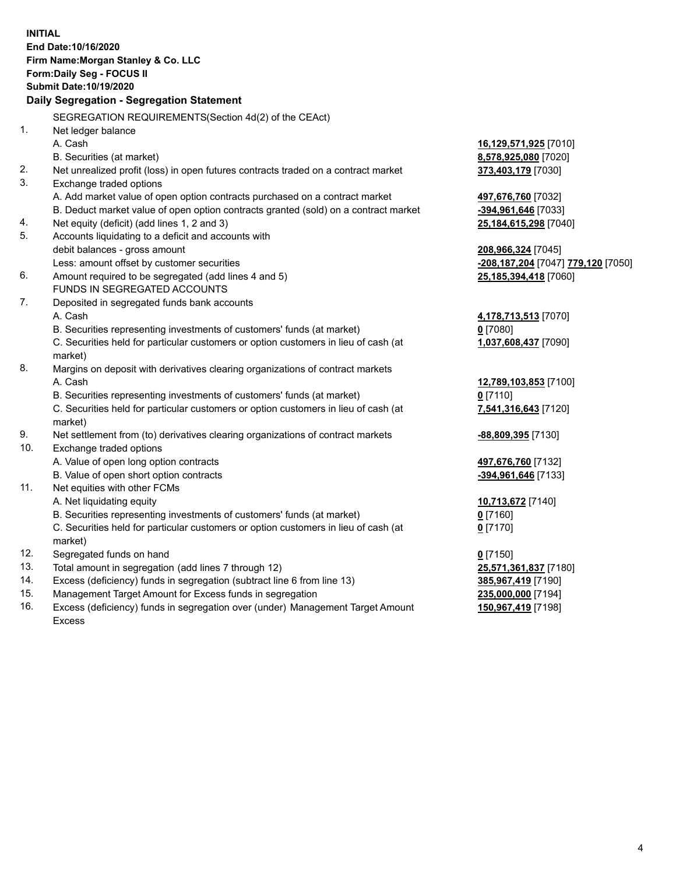|     | <b>INITIAL</b><br>End Date: 10/16/2020<br>Firm Name: Morgan Stanley & Co. LLC<br>Form: Daily Seg - FOCUS II |                                                              |
|-----|-------------------------------------------------------------------------------------------------------------|--------------------------------------------------------------|
|     | <b>Submit Date: 10/19/2020</b>                                                                              |                                                              |
|     | <b>Daily Segregation - Segregation Statement</b>                                                            |                                                              |
|     | SEGREGATION REQUIREMENTS(Section 4d(2) of the CEAct)                                                        |                                                              |
| 1.  | Net ledger balance                                                                                          |                                                              |
|     | A. Cash                                                                                                     | 16,129,571,925 [7010]                                        |
|     | B. Securities (at market)                                                                                   | 8,578,925,080 [7020]                                         |
| 2.  | Net unrealized profit (loss) in open futures contracts traded on a contract market                          | 373,403,179 [7030]                                           |
| 3.  | Exchange traded options                                                                                     |                                                              |
|     | A. Add market value of open option contracts purchased on a contract market                                 | 497,676,760 [7032]                                           |
|     | B. Deduct market value of open option contracts granted (sold) on a contract market                         | -394,961,646 [7033]                                          |
| 4.  | Net equity (deficit) (add lines 1, 2 and 3)                                                                 | 25,184,615,298 [7040]                                        |
| 5.  | Accounts liquidating to a deficit and accounts with                                                         |                                                              |
|     | debit balances - gross amount                                                                               | 208,966,324 [7045]                                           |
|     | Less: amount offset by customer securities                                                                  | <mark>-208,187,204</mark> [7047] <mark>779,120</mark> [7050] |
| 6.  | Amount required to be segregated (add lines 4 and 5)                                                        | 25,185,394,418 [7060]                                        |
|     | FUNDS IN SEGREGATED ACCOUNTS                                                                                |                                                              |
| 7.  | Deposited in segregated funds bank accounts                                                                 |                                                              |
|     | A. Cash                                                                                                     | 4,178,713,513 [7070]                                         |
|     | B. Securities representing investments of customers' funds (at market)                                      | $0$ [7080]                                                   |
|     | C. Securities held for particular customers or option customers in lieu of cash (at                         | 1,037,608,437 [7090]                                         |
|     | market)                                                                                                     |                                                              |
| 8.  | Margins on deposit with derivatives clearing organizations of contract markets                              |                                                              |
|     | A. Cash                                                                                                     | 12,789,103,853 [7100]                                        |
|     | B. Securities representing investments of customers' funds (at market)                                      | $0$ [7110]                                                   |
|     | C. Securities held for particular customers or option customers in lieu of cash (at<br>market)              | 7,541,316,643 [7120]                                         |
| 9.  | Net settlement from (to) derivatives clearing organizations of contract markets                             | -88,809,395 [7130]                                           |
| 10. | Exchange traded options                                                                                     |                                                              |
|     | A. Value of open long option contracts                                                                      | 497,676,760 [7132]                                           |
|     | B. Value of open short option contracts                                                                     | -394,961,646 [7133]                                          |
| 11. | Net equities with other FCMs                                                                                |                                                              |
|     | A. Net liquidating equity                                                                                   | 10,713,672 [7140]                                            |
|     | B. Securities representing investments of customers' funds (at market)                                      | 0 [7160]                                                     |
|     | C. Securities held for particular customers or option customers in lieu of cash (at                         | $0$ [7170]                                                   |
|     | market)                                                                                                     |                                                              |
| 12. | Segregated funds on hand                                                                                    | $0$ [7150]                                                   |
| 13. | Total amount in segregation (add lines 7 through 12)                                                        | 25,571,361,837 [7180]                                        |
| 14. | Excess (deficiency) funds in segregation (subtract line 6 from line 13)                                     | 385,967,419 [7190]                                           |
| 15. | Management Target Amount for Excess funds in segregation                                                    | 235,000,000 [7194]                                           |
| 16. | Excess (deficiency) funds in segregation over (under) Management Target Amount                              | 150,967,419 [7198]                                           |

16. Excess (deficiency) funds in segregation over (under) Management Target Amount Excess

4